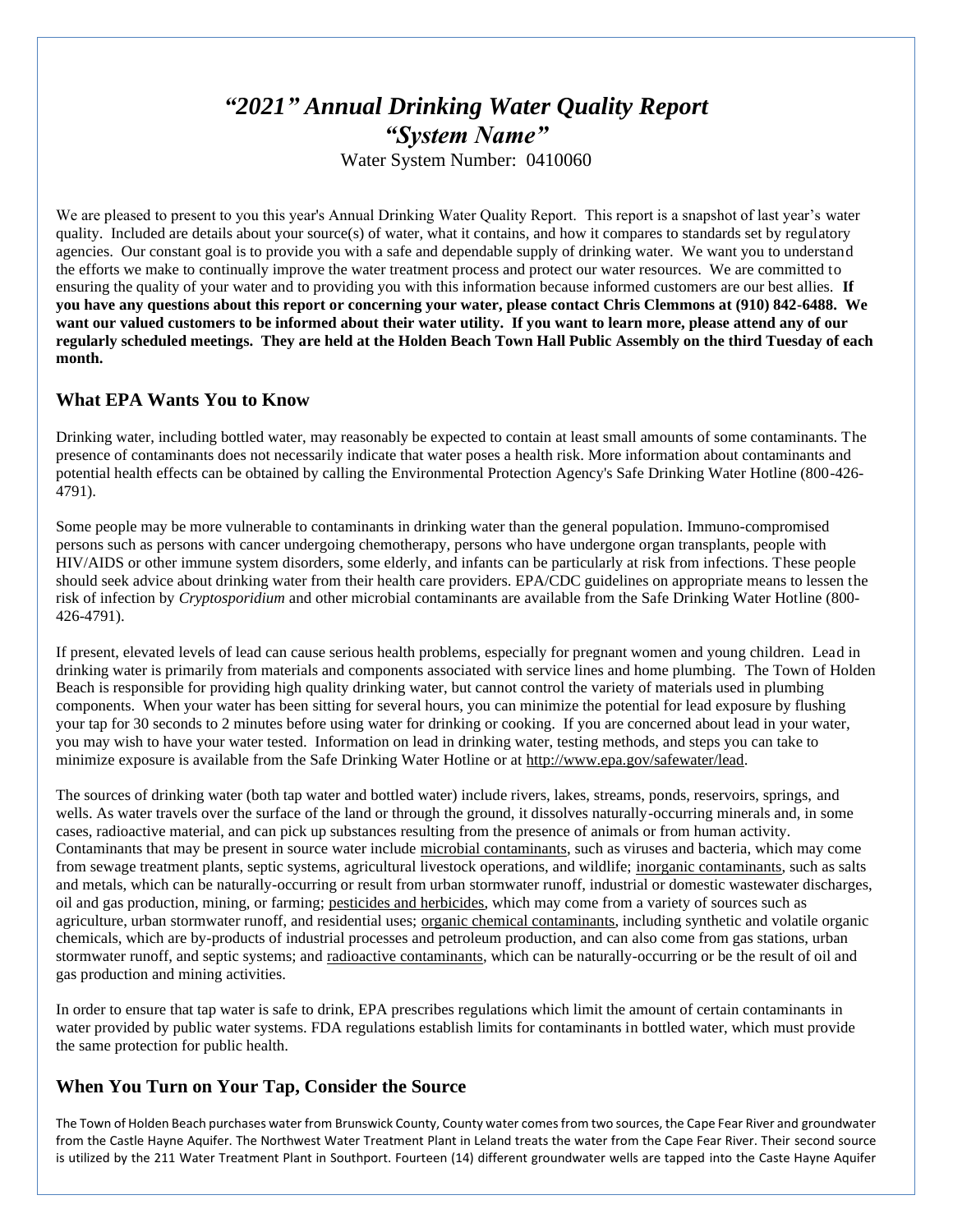# *"2021" Annual Drinking Water Quality Report "System Name"* Water System Number: 0410060

We are pleased to present to you this year's Annual Drinking Water Quality Report. This report is a snapshot of last year's water quality. Included are details about your source(s) of water, what it contains, and how it compares to standards set by regulatory agencies. Our constant goal is to provide you with a safe and dependable supply of drinking water. We want you to understand the efforts we make to continually improve the water treatment process and protect our water resources. We are committed to ensuring the quality of your water and to providing you with this information because informed customers are our best allies. **If you have any questions about this report or concerning your water, please contact Chris Clemmons at (910) 842-6488. We want our valued customers to be informed about their water utility. If you want to learn more, please attend any of our regularly scheduled meetings. They are held at the Holden Beach Town Hall Public Assembly on the third Tuesday of each month.**

#### **What EPA Wants You to Know**

Drinking water, including bottled water, may reasonably be expected to contain at least small amounts of some contaminants. The presence of contaminants does not necessarily indicate that water poses a health risk. More information about contaminants and potential health effects can be obtained by calling the Environmental Protection Agency's Safe Drinking Water Hotline (800-426- 4791).

Some people may be more vulnerable to contaminants in drinking water than the general population. Immuno-compromised persons such as persons with cancer undergoing chemotherapy, persons who have undergone organ transplants, people with HIV/AIDS or other immune system disorders, some elderly, and infants can be particularly at risk from infections. These people should seek advice about drinking water from their health care providers. EPA/CDC guidelines on appropriate means to lessen the risk of infection by *Cryptosporidium* and other microbial contaminants are available from the Safe Drinking Water Hotline (800- 426-4791).

If present, elevated levels of lead can cause serious health problems, especially for pregnant women and young children. Lead in drinking water is primarily from materials and components associated with service lines and home plumbing. The Town of Holden Beach is responsible for providing high quality drinking water, but cannot control the variety of materials used in plumbing components. When your water has been sitting for several hours, you can minimize the potential for lead exposure by flushing your tap for 30 seconds to 2 minutes before using water for drinking or cooking. If you are concerned about lead in your water, you may wish to have your water tested. Information on lead in drinking water, testing methods, and steps you can take to minimize exposure is available from the Safe Drinking Water Hotline or at [http://www.epa.gov/safewater/lead.](http://www.epa.gov/safewater/lead)

The sources of drinking water (both tap water and bottled water) include rivers, lakes, streams, ponds, reservoirs, springs, and wells. As water travels over the surface of the land or through the ground, it dissolves naturally-occurring minerals and, in some cases, radioactive material, and can pick up substances resulting from the presence of animals or from human activity. Contaminants that may be present in source water include microbial contaminants, such as viruses and bacteria, which may come from sewage treatment plants, septic systems, agricultural livestock operations, and wildlife; inorganic contaminants, such as salts and metals, which can be naturally-occurring or result from urban stormwater runoff, industrial or domestic wastewater discharges, oil and gas production, mining, or farming; pesticides and herbicides, which may come from a variety of sources such as agriculture, urban stormwater runoff, and residential uses; organic chemical contaminants, including synthetic and volatile organic chemicals, which are by-products of industrial processes and petroleum production, and can also come from gas stations, urban stormwater runoff, and septic systems; and radioactive contaminants, which can be naturally-occurring or be the result of oil and gas production and mining activities.

In order to ensure that tap water is safe to drink, EPA prescribes regulations which limit the amount of certain contaminants in water provided by public water systems. FDA regulations establish limits for contaminants in bottled water, which must provide the same protection for public health.

## **When You Turn on Your Tap, Consider the Source**

The Town of Holden Beach purchases water from Brunswick County, County water comes from two sources, the Cape Fear River and groundwater from the Castle Hayne Aquifer. The Northwest Water Treatment Plant in Leland treats the water from the Cape Fear River. Their second source is utilized by the 211 Water Treatment Plant in Southport. Fourteen (14) different groundwater wells are tapped into the Caste Hayne Aquifer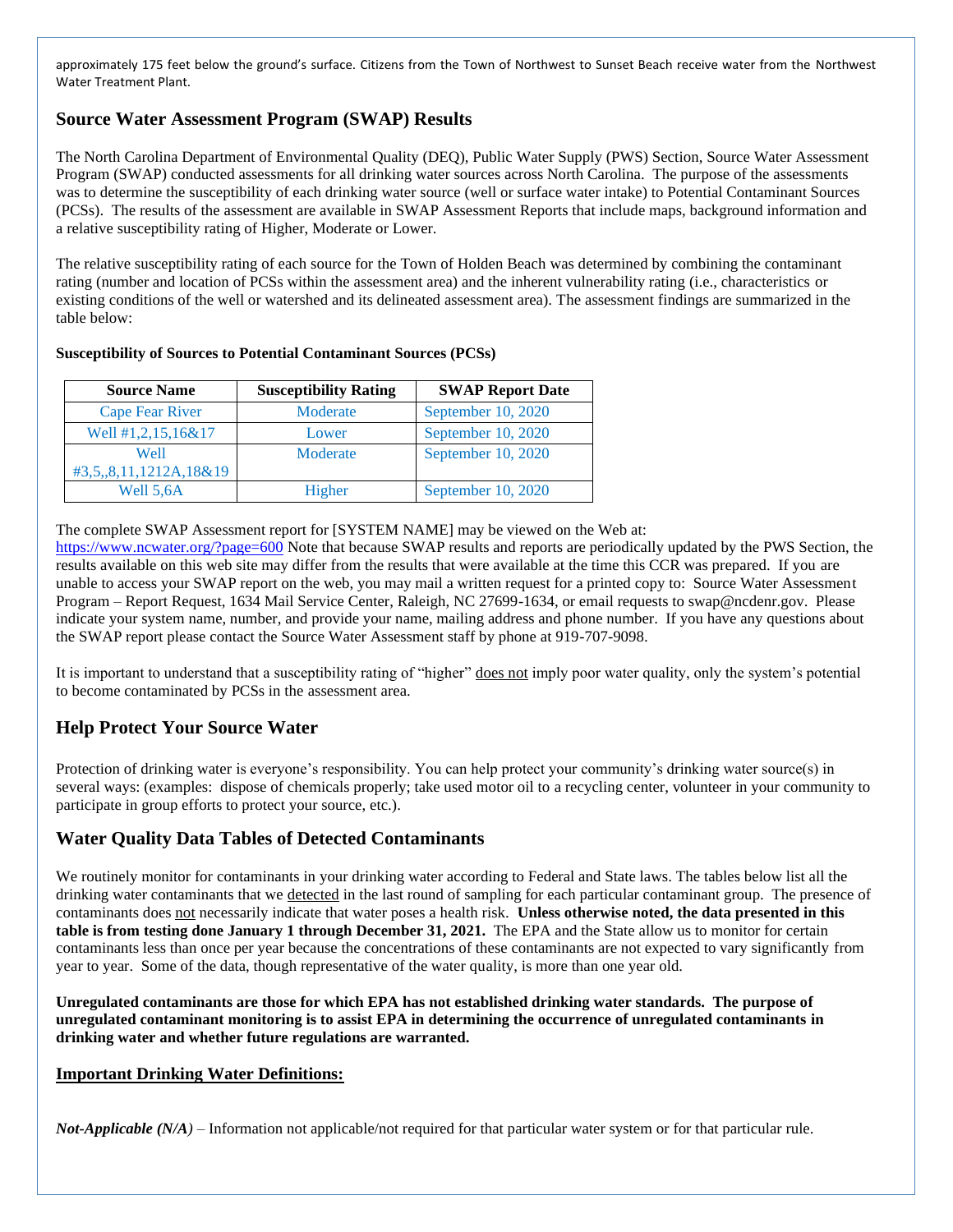approximately 175 feet below the ground's surface. Citizens from the Town of Northwest to Sunset Beach receive water from the Northwest Water Treatment Plant.

# **Source Water Assessment Program (SWAP) Results**

The North Carolina Department of Environmental Quality (DEQ), Public Water Supply (PWS) Section, Source Water Assessment Program (SWAP) conducted assessments for all drinking water sources across North Carolina. The purpose of the assessments was to determine the susceptibility of each drinking water source (well or surface water intake) to Potential Contaminant Sources (PCSs). The results of the assessment are available in SWAP Assessment Reports that include maps, background information and a relative susceptibility rating of Higher, Moderate or Lower.

The relative susceptibility rating of each source for the Town of Holden Beach was determined by combining the contaminant rating (number and location of PCSs within the assessment area) and the inherent vulnerability rating (i.e., characteristics or existing conditions of the well or watershed and its delineated assessment area). The assessment findings are summarized in the table below:

#### **Susceptibility of Sources to Potential Contaminant Sources (PCSs)**

| <b>Source Name</b>                         | <b>Susceptibility Rating</b> | <b>SWAP Report Date</b> |  |  |  |
|--------------------------------------------|------------------------------|-------------------------|--|--|--|
| <b>Cape Fear River</b>                     | Moderate                     | September 10, 2020      |  |  |  |
| Well #1,2,15,16&17                         | Lower                        | September 10, 2020      |  |  |  |
| Well                                       | Moderate                     | September 10, 2020      |  |  |  |
| $\text{\#3,5}_{,8}$ , 8, 11, 1212A, 18& 19 |                              |                         |  |  |  |
| Well 5,6A                                  | Higher                       | September 10, 2020      |  |  |  |

The complete SWAP Assessment report for [SYSTEM NAME] may be viewed on the Web at:

<https://www.ncwater.org/?page=600> Note that because SWAP results and reports are periodically updated by the PWS Section, the results available on this web site may differ from the results that were available at the time this CCR was prepared. If you are unable to access your SWAP report on the web, you may mail a written request for a printed copy to: Source Water Assessment Program – Report Request, 1634 Mail Service Center, Raleigh, NC 27699-1634, or email requests to swap@ncdenr.gov. Please indicate your system name, number, and provide your name, mailing address and phone number. If you have any questions about the SWAP report please contact the Source Water Assessment staff by phone at 919-707-9098.

It is important to understand that a susceptibility rating of "higher" does not imply poor water quality, only the system's potential to become contaminated by PCSs in the assessment area.

# **Help Protect Your Source Water**

Protection of drinking water is everyone's responsibility. You can help protect your community's drinking water source(s) in several ways: (examples: dispose of chemicals properly; take used motor oil to a recycling center, volunteer in your community to participate in group efforts to protect your source, etc.).

## **Water Quality Data Tables of Detected Contaminants**

We routinely monitor for contaminants in your drinking water according to Federal and State laws. The tables below list all the drinking water contaminants that we detected in the last round of sampling for each particular contaminant group. The presence of contaminants does not necessarily indicate that water poses a health risk. **Unless otherwise noted, the data presented in this table is from testing done January 1 through December 31, 2021.** The EPA and the State allow us to monitor for certain contaminants less than once per year because the concentrations of these contaminants are not expected to vary significantly from year to year. Some of the data, though representative of the water quality, is more than one year old.

**Unregulated contaminants are those for which EPA has not established drinking water standards. The purpose of unregulated contaminant monitoring is to assist EPA in determining the occurrence of unregulated contaminants in drinking water and whether future regulations are warranted.** 

#### **Important Drinking Water Definitions:**

*Not-Applicable (N/A)* – Information not applicable/not required for that particular water system or for that particular rule.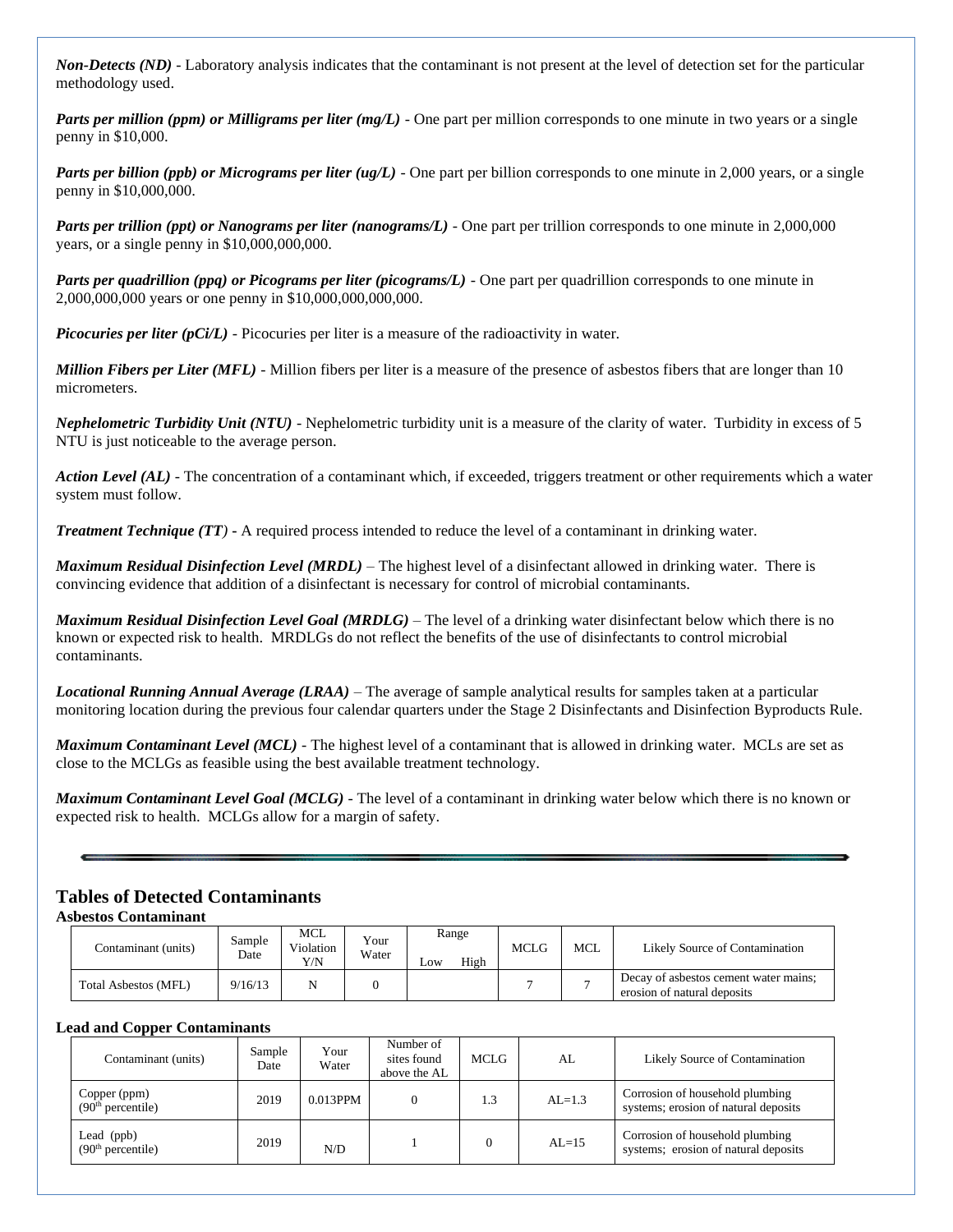*Non-Detects (ND)* - Laboratory analysis indicates that the contaminant is not present at the level of detection set for the particular methodology used.

*Parts per million (ppm) or Milligrams per liter (mg/L)* - One part per million corresponds to one minute in two years or a single penny in \$10,000.

*Parts per billion (ppb) or Micrograms per liter (ug/L)* - One part per billion corresponds to one minute in 2,000 years, or a single penny in \$10,000,000.

*Parts per trillion (ppt) or Nanograms per liter (nanograms/L)* - One part per trillion corresponds to one minute in 2,000,000 years, or a single penny in \$10,000,000,000.

*Parts per quadrillion (ppq) or Picograms per liter (picograms/L)* - One part per quadrillion corresponds to one minute in 2,000,000,000 years or one penny in \$10,000,000,000,000.

*Picocuries per liter (pCi/L)* - Picocuries per liter is a measure of the radioactivity in water.

*Million Fibers per Liter (MFL)* - Million fibers per liter is a measure of the presence of asbestos fibers that are longer than 10 micrometers.

*Nephelometric Turbidity Unit (NTU)* - Nephelometric turbidity unit is a measure of the clarity of water. Turbidity in excess of 5 NTU is just noticeable to the average person.

*Action Level (AL) -* The concentration of a contaminant which, if exceeded, triggers treatment or other requirements which a water system must follow.

*Treatment Technique (TT)* **-** A required process intended to reduce the level of a contaminant in drinking water.

*Maximum Residual Disinfection Level (MRDL)* – The highest level of a disinfectant allowed in drinking water. There is convincing evidence that addition of a disinfectant is necessary for control of microbial contaminants.

*Maximum Residual Disinfection Level Goal (MRDLG)* – The level of a drinking water disinfectant below which there is no known or expected risk to health. MRDLGs do not reflect the benefits of the use of disinfectants to control microbial contaminants.

*Locational Running Annual Average (LRAA)* – The average of sample analytical results for samples taken at a particular monitoring location during the previous four calendar quarters under the Stage 2 Disinfectants and Disinfection Byproducts Rule.

*Maximum Contaminant Level (MCL)* - The highest level of a contaminant that is allowed in drinking water. MCLs are set as close to the MCLGs as feasible using the best available treatment technology.

*Maximum Contaminant Level Goal (MCLG)* - The level of a contaminant in drinking water below which there is no known or expected risk to health. MCLGs allow for a margin of safety.

#### **Tables of Detected Contaminants**

**Asbestos Contaminant** 

| Contaminant (units)         | Sample<br>Date | <b>MCL</b><br>Violation<br>Y/N | Your<br>Water | Range<br>High<br>Low | <b>MCLG</b> | MCL | Likely Source of Contamination                                       |
|-----------------------------|----------------|--------------------------------|---------------|----------------------|-------------|-----|----------------------------------------------------------------------|
| <b>Total Asbestos (MFL)</b> | 9/16/13        | N                              |               |                      |             |     | Decay of asbestos cement water mains;<br>erosion of natural deposits |

#### **Lead and Copper Contaminants**

| Contaminant (units)                           | Sample<br>Date | Your<br>Water | Number of<br>sites found<br>above the AL | MCLG. | AL        | Likely Source of Contamination                                          |
|-----------------------------------------------|----------------|---------------|------------------------------------------|-------|-----------|-------------------------------------------------------------------------|
| Copper (ppm)<br>(90 <sup>th</sup> percentile) | 2019           | 0.013PPM      |                                          | 1.3   | $AL=1.3$  | Corrosion of household plumbing<br>systems; erosion of natural deposits |
| Lead (ppb)<br>(90 <sup>th</sup> percentile)   | 2019<br>N/D    |               |                                          |       | $AI = 15$ | Corrosion of household plumbing<br>systems; erosion of natural deposits |